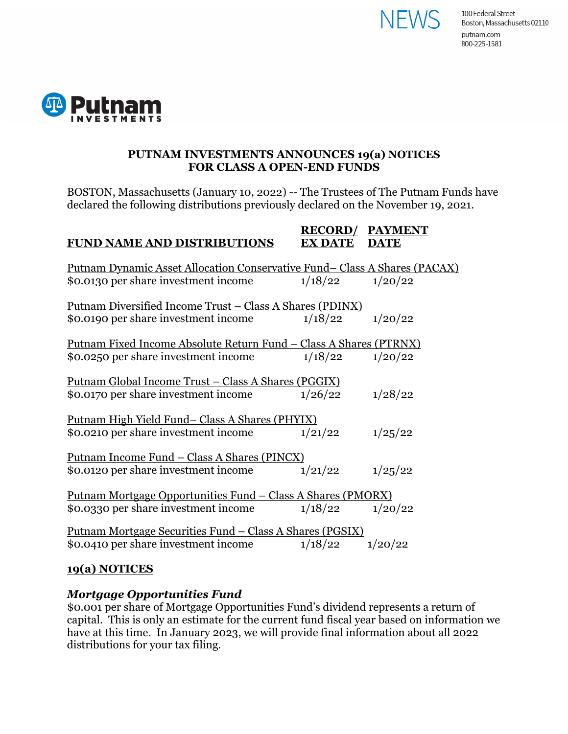



## **PUTNAM INVESTMENTS ANNOUNCES 19(a) NOTICES FOR CLASS A OPEN-END FUNDS**

BOSTON, Massachusetts (January 10, 2022) -- The Trustees of The Putnam Funds have declared the following distributions previously declared on the November 19, 2021.

| <b>FUND NAME AND DISTRIBUTIONS</b>                                                                                        | <b>RECORD/</b><br><b>EX DATE</b> | <b>PAYMENT</b><br><b>DATE</b> |
|---------------------------------------------------------------------------------------------------------------------------|----------------------------------|-------------------------------|
| <u> Putnam Dynamic Asset Allocation Conservative Fund– Class A Shares (PACAX)</u><br>\$0.0130 per share investment income | 1/18/22                          | 1/20/22                       |
| <u> Putnam Diversified Income Trust – Class A Shares (PDINX)</u><br>\$0.0190 per share investment income                  | 1/18/22                          | 1/20/22                       |
| <u> Putnam Fixed Income Absolute Return Fund – Class A Shares (PTRNX)</u><br>\$0.0250 per share investment income         | 1/18/22                          | 1/20/22                       |
| <u> Putnam Global Income Trust – Class A Shares (PGGIX)</u><br>\$0.0170 per share investment income                       | 1/26/22                          | 1/28/22                       |
| <u> Putnam High Yield Fund– Class A Shares (PHYIX)</u><br>\$0.0210 per share investment income                            | 1/21/22                          | 1/25/22                       |
| <u> Putnam Income Fund – Class A Shares (PINCX)</u><br>\$0.0120 per share investment income                               | 1/21/22                          | 1/25/22                       |
| <u> Putnam Mortgage Opportunities Fund – Class A Shares (PMORX)</u><br>\$0.0330 per share investment income               | 1/18/22                          | 1/20/22                       |
| <u> Putnam Mortgage Securities Fund – Class A Shares (PGSIX)</u><br>\$0.0410 per share investment income                  | 1/18/22                          | 1/20/22                       |
| 19(a) NOTICES                                                                                                             |                                  |                               |

## *Mortgage Opportunities Fund*

\$0.001 per share of Mortgage Opportunities Fund's dividend represents a return of capital. This is only an estimate for the current fund fiscal year based on information we have at this time. In January 2023, we will provide final information about all 2022 distributions for your tax filing.